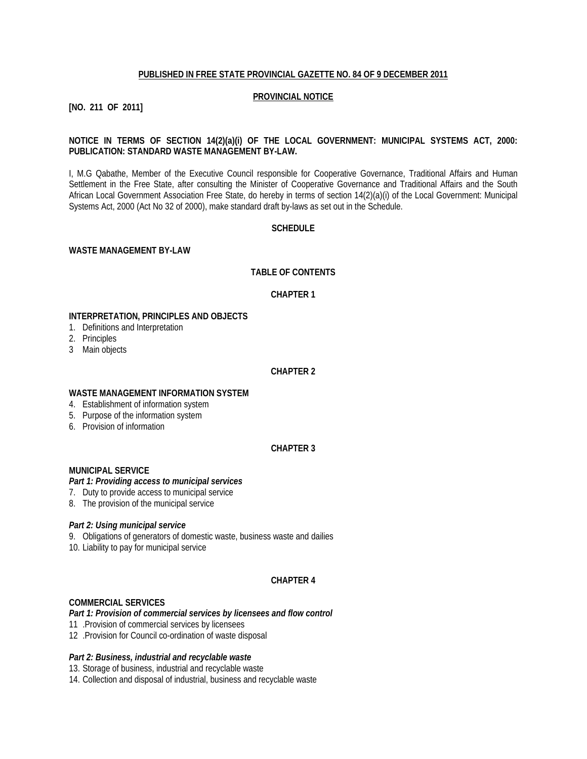#### **PUBLISHED IN FREE STATE PROVINCIAL GAZETTE NO. 84 OF 9 DECEMBER 2011**

#### **PROVINCIAL NOTICE**

### **[NO. 211 OF 2011]**

### **NOTICE IN TERMS OF SECTION 14(2)(a)(i) OF THE LOCAL GOVERNMENT: MUNICIPAL SYSTEMS ACT, 2000: PUBLICATION: STANDARD WASTE MANAGEMENT BY-LAW.**

I, M.G Qabathe, Member of the Executive Council responsible for Cooperative Governance, Traditional Affairs and Human Settlement in the Free State, after consulting the Minister of Cooperative Governance and Traditional Affairs and the South African Local Government Association Free State, do hereby in terms of section 14(2)(a)(i) of the Local Government: Municipal Systems Act, 2000 (Act No 32 of 2000), make standard draft by-laws as set out in the Schedule.

#### **SCHEDULE**

#### **WASTE MANAGEMENT BY-LAW**

#### **TABLE OF CONTENTS**

#### **CHAPTER 1**

#### **INTERPRETATION, PRINCIPLES AND OBJECTS**

- 1. Definitions and Interpretation
- 2. Principles
- 3 Main objects

### **CHAPTER 2**

#### **WASTE MANAGEMENT INFORMATION SYSTEM**

- 4. Establishment of information system
- 5. Purpose of the information system
- 6. Provision of information

# **CHAPTER 3**

### **MUNICIPAL SERVICE**

### *Part 1: Providing access to municipal services*

- 7. Duty to provide access to municipal service
- 8. The provision of the municipal service

#### *Part 2: Using municipal service*

- 9. Obligations of generators of domestic waste, business waste and dailies
- 10. Liability to pay for municipal service

### **CHAPTER 4**

#### **COMMERCIAL SERVICES**

#### *Part 1: Provision of commercial services by licensees and flow control*

- 11 .Provision of commercial services by licensees
- 12 .Provision for Council co-ordination of waste disposal

#### *Part 2: Business, industrial and recyclable waste*

13. Storage of business, industrial and recyclable waste

14. Collection and disposal of industrial, business and recyclable waste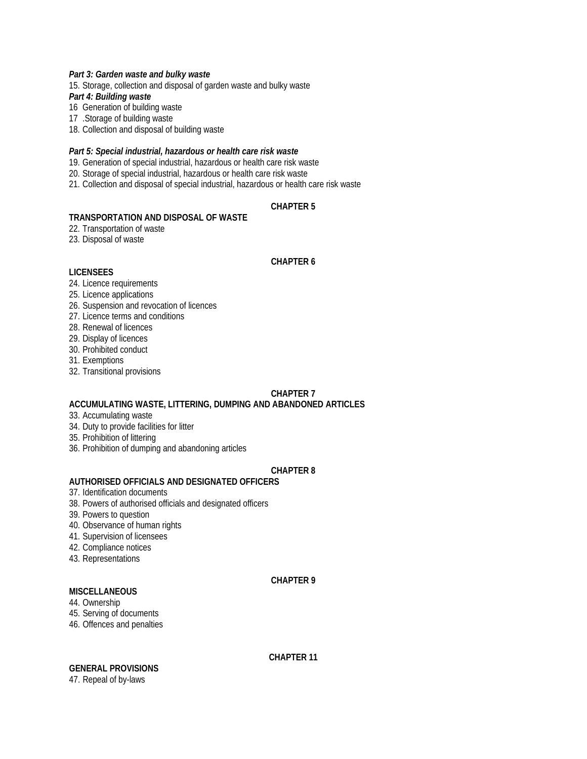### *Part 3: Garden waste and bulky waste*

15. Storage, collection and disposal of garden waste and bulky waste *Part 4: Building waste* 

16 Generation of building waste

17 .Storage of building waste

18. Collection and disposal of building waste

#### *Part 5: Special industrial, hazardous or health care risk waste*

19. Generation of special industrial, hazardous or health care risk waste

20. Storage of special industrial, hazardous or health care risk waste

21. Collection and disposal of special industrial, hazardous or health care risk waste

# **CHAPTER 5**

### **TRANSPORTATION AND DISPOSAL OF WASTE**

22. Transportation of waste

23. Disposal of waste

#### **CHAPTER 6**

#### **LICENSEES**

### 24. Licence requirements

- 25. Licence applications
- 26. Suspension and revocation of licences
- 27. Licence terms and conditions
- 28. Renewal of licences
- 29. Display of licences
- 30. Prohibited conduct
- 31. Exemptions
- 32. Transitional provisions

### **CHAPTER 7**

### **ACCUMULATING WASTE, LITTERING, DUMPING AND ABANDONED ARTICLES**

- 33. Accumulating waste
- 34. Duty to provide facilities for litter
- 35. Prohibition of littering
- 36. Prohibition of dumping and abandoning articles

### **CHAPTER 8**

# **AUTHORISED OFFICIALS AND DESIGNATED OFFICERS**

- 37. Identification documents
- 38. Powers of authorised officials and designated officers
- 39. Powers to question
- 40. Observance of human rights
- 41. Supervision of licensees
- 42. Compliance notices
- 43. Representations

### **CHAPTER 9**

# **MISCELLANEOUS**

- 44. Ownership
- 45. Serving of documents
- 46. Offences and penalties

# **GENERAL PROVISIONS**

47. Repeal of by-laws

### **CHAPTER 11**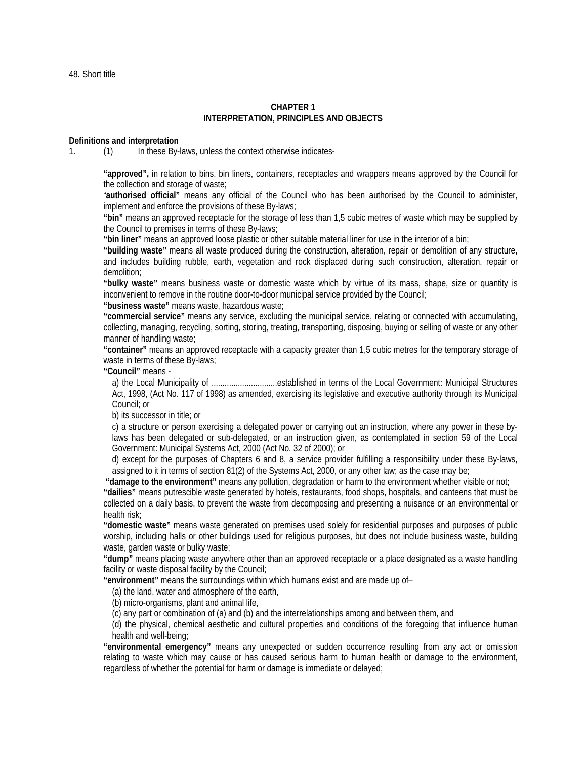48. Short title

#### **CHAPTER 1 INTERPRETATION, PRINCIPLES AND OBJECTS**

#### **Definitions and interpretation**

1. (1) In these By-laws, unless the context otherwise indicates-

**"approved",** in relation to bins, bin liners, containers, receptacles and wrappers means approved by the Council for the collection and storage of waste;

"**authorised official"** means any official of the Council who has been authorised by the Council to administer, implement and enforce the provisions of these By-laws;

**"bin"** means an approved receptacle for the storage of less than 1,5 cubic metres of waste which may be supplied by the Council to premises in terms of these By-laws;

**"bin liner"** means an approved loose plastic or other suitable material liner for use in the interior of a bin;

**"building waste"** means all waste produced during the construction, alteration, repair or demolition of any structure, and includes building rubble, earth, vegetation and rock displaced during such construction, alteration, repair or demolition;

**"bulky waste"** means business waste or domestic waste which by virtue of its mass, shape, size or quantity is inconvenient to remove in the routine door-to-door municipal service provided by the Council;

**"business waste"** means waste, hazardous waste;

**"commercial service"** means any service, excluding the municipal service, relating or connected with accumulating, collecting, managing, recycling, sorting, storing, treating, transporting, disposing, buying or selling of waste or any other manner of handling waste;

**"container"** means an approved receptacle with a capacity greater than 1,5 cubic metres for the temporary storage of waste in terms of these By-laws;

**"Council"** means -

a) the Local Municipality of ..............................established in terms of the Local Government: Municipal Structures Act, 1998, (Act No. 117 of 1998) as amended, exercising its legislative and executive authority through its Municipal Council; or

b) its successor in title; or

c) a structure or person exercising a delegated power or carrying out an instruction, where any power in these bylaws has been delegated or sub-delegated, or an instruction given, as contemplated in section 59 of the Local Government: Municipal Systems Act, 2000 (Act No. 32 of 2000); or

d) except for the purposes of Chapters 6 and 8, a service provider fulfilling a responsibility under these By-laws, assigned to it in terms of section 81(2) of the Systems Act, 2000, or any other law; as the case may be;

**"damage to the environment"** means any pollution, degradation or harm to the environment whether visible or not;

**"dailies"** means putrescible waste generated by hotels, restaurants, food shops, hospitals, and canteens that must be collected on a daily basis, to prevent the waste from decomposing and presenting a nuisance or an environmental or health risk;

**"domestic waste"** means waste generated on premises used solely for residential purposes and purposes of public worship, including halls or other buildings used for religious purposes, but does not include business waste, building waste, garden waste or bulky waste;

**"dump"** means placing waste anywhere other than an approved receptacle or a place designated as a waste handling facility or waste disposal facility by the Council;

**"environment"** means the surroundings within which humans exist and are made up of–

(a) the land, water and atmosphere of the earth,

(b) micro-organisms, plant and animal life,

(c) any part or combination of (a) and (b) and the interrelationships among and between them, and

(d) the physical, chemical aesthetic and cultural properties and conditions of the foregoing that influence human health and well-being;

**"environmental emergency"** means any unexpected or sudden occurrence resulting from any act or omission relating to waste which may cause or has caused serious harm to human health or damage to the environment, regardless of whether the potential for harm or damage is immediate or delayed;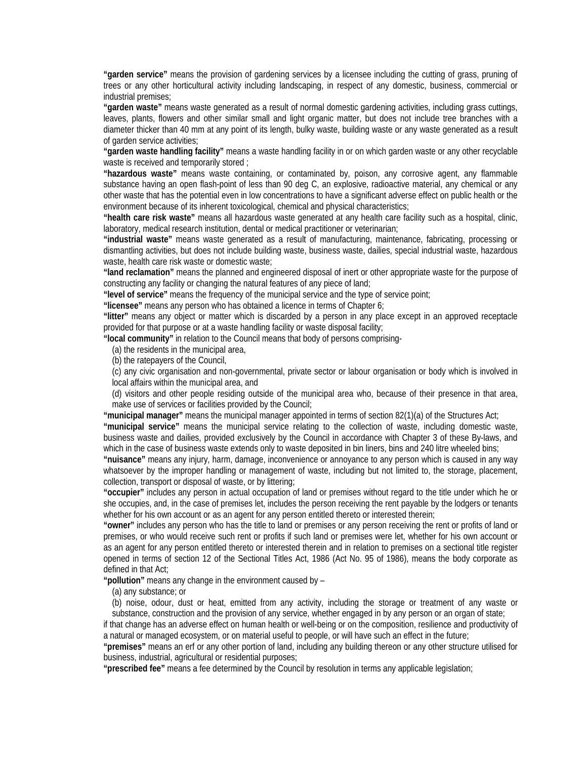**"garden service"** means the provision of gardening services by a licensee including the cutting of grass, pruning of trees or any other horticultural activity including landscaping, in respect of any domestic, business, commercial or industrial premises;

**"garden waste"** means waste generated as a result of normal domestic gardening activities, including grass cuttings, leaves, plants, flowers and other similar small and light organic matter, but does not include tree branches with a diameter thicker than 40 mm at any point of its length, bulky waste, building waste or any waste generated as a result of garden service activities;

**"garden waste handling facility"** means a waste handling facility in or on which garden waste or any other recyclable waste is received and temporarily stored ;

**"hazardous waste"** means waste containing, or contaminated by, poison, any corrosive agent, any flammable substance having an open flash-point of less than 90 deg C, an explosive, radioactive material, any chemical or any other waste that has the potential even in low concentrations to have a significant adverse effect on public health or the environment because of its inherent toxicological, chemical and physical characteristics;

**"health care risk waste"** means all hazardous waste generated at any health care facility such as a hospital, clinic, laboratory, medical research institution, dental or medical practitioner or veterinarian;

**"industrial waste"** means waste generated as a result of manufacturing, maintenance, fabricating, processing or dismantling activities, but does not include building waste, business waste, dailies, special industrial waste, hazardous waste, health care risk waste or domestic waste;

**"land reclamation"** means the planned and engineered disposal of inert or other appropriate waste for the purpose of constructing any facility or changing the natural features of any piece of land;

**"level of service"** means the frequency of the municipal service and the type of service point;

**"licensee"** means any person who has obtained a licence in terms of Chapter 6;

**"litter"** means any object or matter which is discarded by a person in any place except in an approved receptacle provided for that purpose or at a waste handling facility or waste disposal facility;

**"local community"** in relation to the Council means that body of persons comprising-

(a) the residents in the municipal area,

(b) the ratepayers of the Council,

(c) any civic organisation and non-governmental, private sector or labour organisation or body which is involved in local affairs within the municipal area, and

(d) visitors and other people residing outside of the municipal area who, because of their presence in that area, make use of services or facilities provided by the Council;

**"municipal manager"** means the municipal manager appointed in terms of section 82(1)(a) of the Structures Act;

**"municipal service"** means the municipal service relating to the collection of waste, including domestic waste, business waste and dailies, provided exclusively by the Council in accordance with Chapter 3 of these By-laws, and which in the case of business waste extends only to waste deposited in bin liners, bins and 240 litre wheeled bins;

**"nuisance"** means any injury, harm, damage, inconvenience or annoyance to any person which is caused in any way whatsoever by the improper handling or management of waste, including but not limited to, the storage, placement, collection, transport or disposal of waste, or by littering;

**"occupier"** includes any person in actual occupation of land or premises without regard to the title under which he or she occupies, and, in the case of premises let, includes the person receiving the rent payable by the lodgers or tenants whether for his own account or as an agent for any person entitled thereto or interested therein;

**"owner"** includes any person who has the title to land or premises or any person receiving the rent or profits of land or premises, or who would receive such rent or profits if such land or premises were let, whether for his own account or as an agent for any person entitled thereto or interested therein and in relation to premises on a sectional title register opened in terms of section 12 of the Sectional Titles Act, 1986 (Act No. 95 of 1986), means the body corporate as defined in that Act;

**"pollution"** means any change in the environment caused by –

(a) any substance; or

(b) noise, odour, dust or heat, emitted from any activity, including the storage or treatment of any waste or substance, construction and the provision of any service, whether engaged in by any person or an organ of state;

if that change has an adverse effect on human health or well-being or on the composition, resilience and productivity of a natural or managed ecosystem, or on material useful to people, or will have such an effect in the future;

**"premises"** means an erf or any other portion of land, including any building thereon or any other structure utilised for business, industrial, agricultural or residential purposes;

**"prescribed fee"** means a fee determined by the Council by resolution in terms any applicable legislation;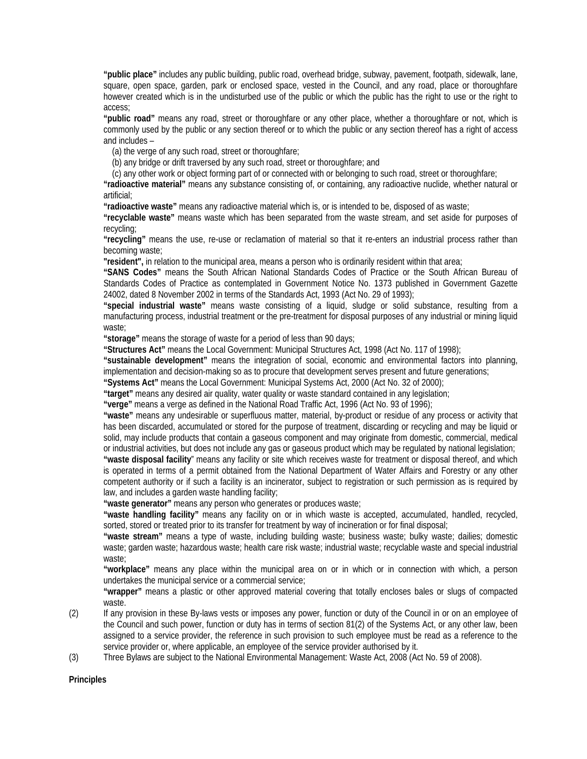**"public place"** includes any public building, public road, overhead bridge, subway, pavement, footpath, sidewalk, lane, square, open space, garden, park or enclosed space, vested in the Council, and any road, place or thoroughfare however created which is in the undisturbed use of the public or which the public has the right to use or the right to access;

**"public road"** means any road, street or thoroughfare or any other place, whether a thoroughfare or not, which is commonly used by the public or any section thereof or to which the public or any section thereof has a right of access and includes –

(a) the verge of any such road, street or thoroughfare;

(b) any bridge or drift traversed by any such road, street or thoroughfare; and

(c) any other work or object forming part of or connected with or belonging to such road, street or thoroughfare;

**"radioactive material"** means any substance consisting of, or containing, any radioactive nuclide, whether natural or artificial;

**"radioactive waste"** means any radioactive material which is, or is intended to be, disposed of as waste;

**"recyclable waste"** means waste which has been separated from the waste stream, and set aside for purposes of recycling;

**"recycling"** means the use, re-use or reclamation of material so that it re-enters an industrial process rather than becoming waste;

**"resident",** in relation to the municipal area, means a person who is ordinarily resident within that area;

**"SANS Codes"** means the South African National Standards Codes of Practice or the South African Bureau of Standards Codes of Practice as contemplated in Government Notice No. 1373 published in Government Gazette 24002, dated 8 November 2002 in terms of the Standards Act, 1993 (Act No. 29 of 1993);

**"special industrial waste"** means waste consisting of a liquid, sludge or solid substance, resulting from a manufacturing process, industrial treatment or the pre-treatment for disposal purposes of any industrial or mining liquid waste;

**"storage"** means the storage of waste for a period of less than 90 days;

**"Structures Act"** means the Local Government: Municipal Structures Act, 1998 (Act No. 117 of 1998);

**"sustainable development"** means the integration of social, economic and environmental factors into planning, implementation and decision-making so as to procure that development serves present and future generations;

**"Systems Act"** means the Local Government: Municipal Systems Act, 2000 (Act No. 32 of 2000);

**"target"** means any desired air quality, water quality or waste standard contained in any legislation;

**"verge"** means a verge as defined in the National Road Traffic Act, 1996 (Act No. 93 of 1996);

**"waste"** means any undesirable or superfluous matter, material, by-product or residue of any process or activity that has been discarded, accumulated or stored for the purpose of treatment, discarding or recycling and may be liquid or solid, may include products that contain a gaseous component and may originate from domestic, commercial, medical or industrial activities, but does not include any gas or gaseous product which may be regulated by national legislation;

**"waste disposal facility**" means any facility or site which receives waste for treatment or disposal thereof, and which is operated in terms of a permit obtained from the National Department of Water Affairs and Forestry or any other competent authority or if such a facility is an incinerator, subject to registration or such permission as is required by law, and includes a garden waste handling facility;

**"waste generator"** means any person who generates or produces waste;

**"waste handling facility"** means any facility on or in which waste is accepted, accumulated, handled, recycled, sorted, stored or treated prior to its transfer for treatment by way of incineration or for final disposal;

**"waste stream"** means a type of waste, including building waste; business waste; bulky waste; dailies; domestic waste; garden waste; hazardous waste; health care risk waste; industrial waste; recyclable waste and special industrial waste;

**"workplace"** means any place within the municipal area on or in which or in connection with which, a person undertakes the municipal service or a commercial service;

**"wrapper"** means a plastic or other approved material covering that totally encloses bales or slugs of compacted waste.

- (2) If any provision in these By-laws vests or imposes any power, function or duty of the Council in or on an employee of the Council and such power, function or duty has in terms of section 81(2) of the Systems Act, or any other law, been assigned to a service provider, the reference in such provision to such employee must be read as a reference to the service provider or, where applicable, an employee of the service provider authorised by it.
- (3) Three Bylaws are subject to the National Environmental Management: Waste Act, 2008 (Act No. 59 of 2008).

### **Principles**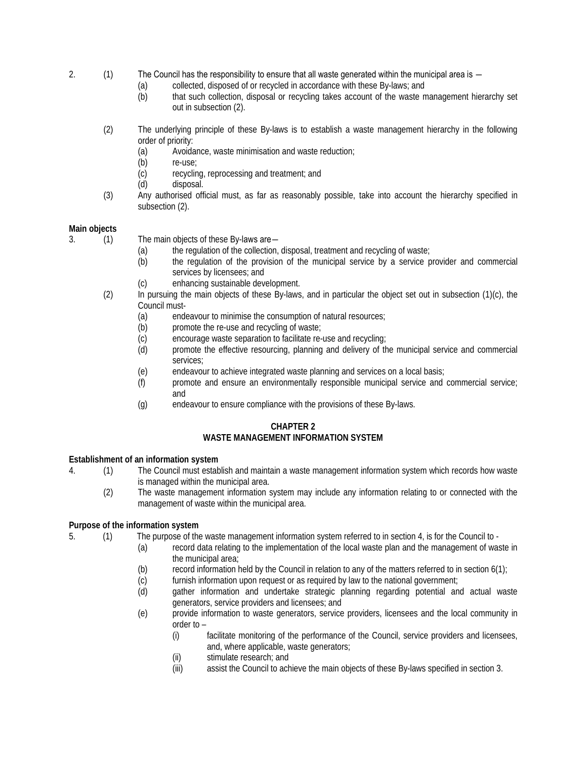- 2. (1) The Council has the responsibility to ensure that all waste generated within the municipal area is
	- (a) collected, disposed of or recycled in accordance with these By-laws; and
	- (b) that such collection, disposal or recycling takes account of the waste management hierarchy set out in subsection (2).
	- (2) The underlying principle of these By-laws is to establish a waste management hierarchy in the following order of priority:
		- (a) Avoidance, waste minimisation and waste reduction;
		- (b) re-use;
		- (c) recycling, reprocessing and treatment; and
		- (d) disposal.
	- (3) Any authorised official must, as far as reasonably possible, take into account the hierarchy specified in subsection (2).

## **Main objects**

3. (1) The main objects of these By-laws are―

- (a) the regulation of the collection, disposal, treatment and recycling of waste;
- (b) the regulation of the provision of the municipal service by a service provider and commercial services by licensees; and
- (c) enhancing sustainable development.
- (2) In pursuing the main objects of these By-laws, and in particular the object set out in subsection (1)(c), the Council must-
	- (a) endeavour to minimise the consumption of natural resources;<br>(b) promote the re-use and recycling of waste;
	- (b) promote the re-use and recycling of waste;<br>(c) encourage waste separation to facilitate re-
	- encourage waste separation to facilitate re-use and recycling;
	- (d) promote the effective resourcing, planning and delivery of the municipal service and commercial services;
	- (e) endeavour to achieve integrated waste planning and services on a local basis;
	- (f) promote and ensure an environmentally responsible municipal service and commercial service; and
	- (g) endeavour to ensure compliance with the provisions of these By-laws.

# **CHAPTER 2 WASTE MANAGEMENT INFORMATION SYSTEM**

### **Establishment of an information system**

- 4. (1) The Council must establish and maintain a waste management information system which records how waste is managed within the municipal area.
	- (2) The waste management information system may include any information relating to or connected with the management of waste within the municipal area.

### **Purpose of the information system**

5. (1) The purpose of the waste management information system referred to in section 4, is for the Council to -

- (a) record data relating to the implementation of the local waste plan and the management of waste in the municipal area;
	- (b) record information held by the Council in relation to any of the matters referred to in section  $6(1)$ ;
	- (c) furnish information upon request or as required by law to the national government;<br>(d) aather information and undertake strategic planning regarding potential and
	- gather information and undertake strategic planning regarding potential and actual waste generators, service providers and licensees; and
	- (e) provide information to waste generators, service providers, licensees and the local community in order to –
		- (i) facilitate monitoring of the performance of the Council, service providers and licensees, and, where applicable, waste generators;
		- (ii) stimulate research; and
		- (iii) assist the Council to achieve the main objects of these By-laws specified in section 3.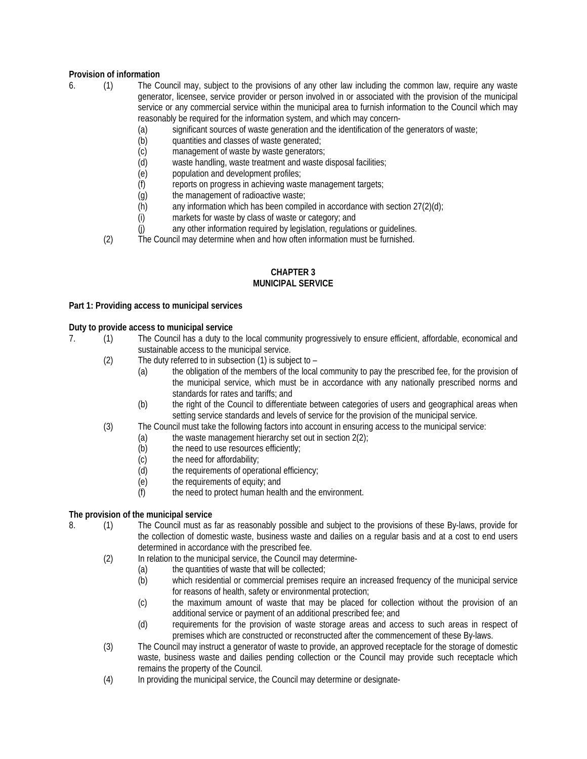# **Provision of information**

- 6. (1) The Council may, subject to the provisions of any other law including the common law, require any waste generator, licensee, service provider or person involved in or associated with the provision of the municipal service or any commercial service within the municipal area to furnish information to the Council which may reasonably be required for the information system, and which may concern-
	- (a) significant sources of waste generation and the identification of the generators of waste;
	- (b) quantities and classes of waste generated;
	- (c) management of waste by waste generators;
	- (d) waste handling, waste treatment and waste disposal facilities;
	- (e) population and development profiles;
	- (f) reports on progress in achieving waste management targets;
	- (g) the management of radioactive waste;
	- $(h)$  any information which has been compiled in accordance with section 27(2)(d);
	- (i) markets for waste by class of waste or category; and<br>(i) any other information required by legislation, regulation
	- any other information required by legislation, regulations or guidelines.

(2) The Council may determine when and how often information must be furnished.

#### **CHAPTER 3 MUNICIPAL SERVICE**

### **Part 1: Providing access to municipal services**

#### **Duty to provide access to municipal service**

- 7. (1) The Council has a duty to the local community progressively to ensure efficient, affordable, economical and sustainable access to the municipal service.
	- (2) The duty referred to in subsection (1) is subject to
		- (a) the obligation of the members of the local community to pay the prescribed fee, for the provision of the municipal service, which must be in accordance with any nationally prescribed norms and standards for rates and tariffs; and
		- (b) the right of the Council to differentiate between categories of users and geographical areas when setting service standards and levels of service for the provision of the municipal service.
	- (3) The Council must take the following factors into account in ensuring access to the municipal service:
		- (a) the waste management hierarchy set out in section  $2(2)$ ;<br>(b) the need to use resources efficiently;
			- the need to use resources efficiently;
			- (c) the need for affordability;
			- (d) the requirements of operational efficiency;
			- (e) the requirements of equity; and
			- (f) the need to protect human health and the environment.

### **The provision of the municipal service**

- 8. (1) The Council must as far as reasonably possible and subject to the provisions of these By-laws, provide for the collection of domestic waste, business waste and dailies on a regular basis and at a cost to end users determined in accordance with the prescribed fee.
	- (2) In relation to the municipal service, the Council may determine-
		- (a) the quantities of waste that will be collected;
		- (b) which residential or commercial premises require an increased frequency of the municipal service for reasons of health, safety or environmental protection;
		- (c) the maximum amount of waste that may be placed for collection without the provision of an additional service or payment of an additional prescribed fee; and
		- (d) requirements for the provision of waste storage areas and access to such areas in respect of premises which are constructed or reconstructed after the commencement of these By-laws.
	- (3) The Council may instruct a generator of waste to provide, an approved receptacle for the storage of domestic waste, business waste and dailies pending collection or the Council may provide such receptacle which remains the property of the Council.
	- (4) In providing the municipal service, the Council may determine or designate-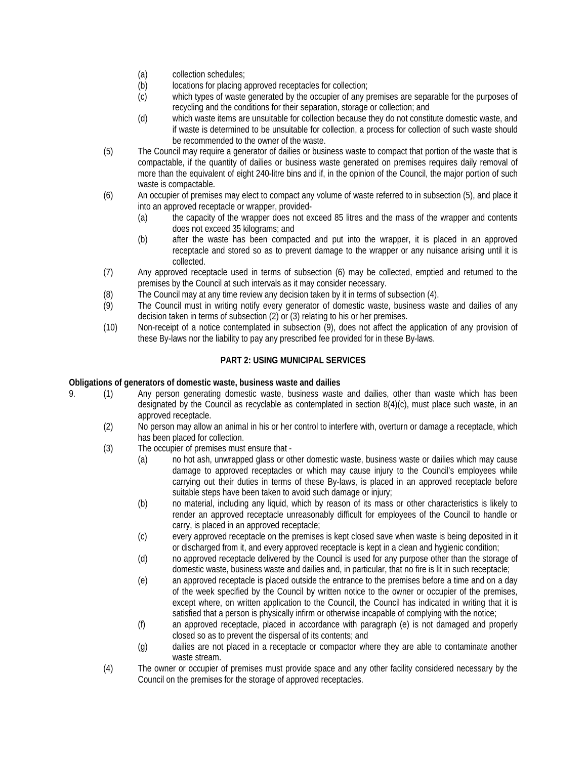- (a) collection schedules;
- (b) locations for placing approved receptacles for collection;
- (c) which types of waste generated by the occupier of any premises are separable for the purposes of recycling and the conditions for their separation, storage or collection; and
- (d) which waste items are unsuitable for collection because they do not constitute domestic waste, and if waste is determined to be unsuitable for collection, a process for collection of such waste should be recommended to the owner of the waste.
- (5) The Council may require a generator of dailies or business waste to compact that portion of the waste that is compactable, if the quantity of dailies or business waste generated on premises requires daily removal of more than the equivalent of eight 240-litre bins and if, in the opinion of the Council, the major portion of such waste is compactable.
- (6) An occupier of premises may elect to compact any volume of waste referred to in subsection (5), and place it into an approved receptacle or wrapper, provided-
	- (a) the capacity of the wrapper does not exceed 85 litres and the mass of the wrapper and contents does not exceed 35 kilograms; and
	- (b) after the waste has been compacted and put into the wrapper, it is placed in an approved receptacle and stored so as to prevent damage to the wrapper or any nuisance arising until it is collected.
- (7) Any approved receptacle used in terms of subsection (6) may be collected, emptied and returned to the premises by the Council at such intervals as it may consider necessary.
- (8) The Council may at any time review any decision taken by it in terms of subsection (4).
- (9) The Council must in writing notify every generator of domestic waste, business waste and dailies of any decision taken in terms of subsection (2) or (3) relating to his or her premises.
- (10) Non-receipt of a notice contemplated in subsection (9), does not affect the application of any provision of these By-laws nor the liability to pay any prescribed fee provided for in these By-laws.

# **PART 2: USING MUNICIPAL SERVICES**

### **Obligations of generators of domestic waste, business waste and dailies**

- 9. (1) Any person generating domestic waste, business waste and dailies, other than waste which has been designated by the Council as recyclable as contemplated in section 8(4)(c), must place such waste, in an approved receptacle.
	- (2) No person may allow an animal in his or her control to interfere with, overturn or damage a receptacle, which has been placed for collection.
	- (3) The occupier of premises must ensure that
		- (a) no hot ash, unwrapped glass or other domestic waste, business waste or dailies which may cause damage to approved receptacles or which may cause injury to the Council's employees while carrying out their duties in terms of these By-laws, is placed in an approved receptacle before suitable steps have been taken to avoid such damage or injury;
		- (b) no material, including any liquid, which by reason of its mass or other characteristics is likely to render an approved receptacle unreasonably difficult for employees of the Council to handle or carry, is placed in an approved receptacle;
		- (c) every approved receptacle on the premises is kept closed save when waste is being deposited in it or discharged from it, and every approved receptacle is kept in a clean and hygienic condition;
		- (d) no approved receptacle delivered by the Council is used for any purpose other than the storage of domestic waste, business waste and dailies and, in particular, that no fire is lit in such receptacle;
		- (e) an approved receptacle is placed outside the entrance to the premises before a time and on a day of the week specified by the Council by written notice to the owner or occupier of the premises, except where, on written application to the Council, the Council has indicated in writing that it is satisfied that a person is physically infirm or otherwise incapable of complying with the notice;
		- (f) an approved receptacle, placed in accordance with paragraph (e) is not damaged and properly closed so as to prevent the dispersal of its contents; and
		- (g) dailies are not placed in a receptacle or compactor where they are able to contaminate another waste stream.
	- (4) The owner or occupier of premises must provide space and any other facility considered necessary by the Council on the premises for the storage of approved receptacles.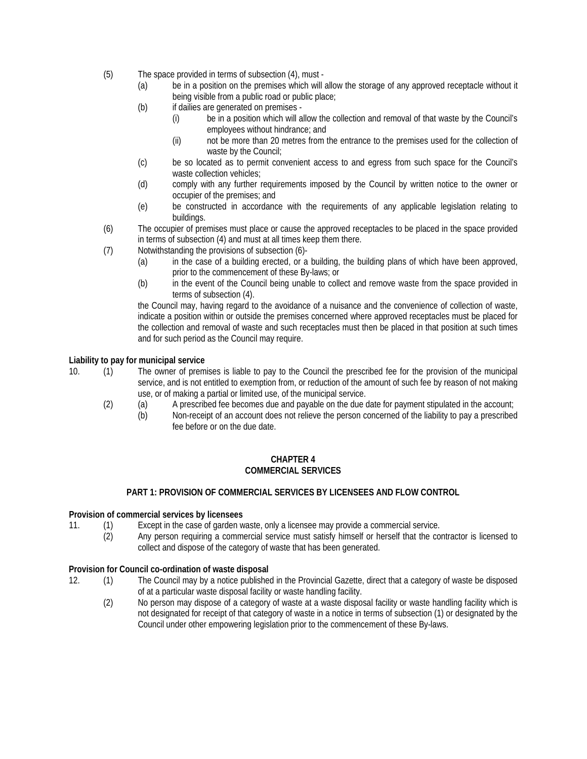- (5) The space provided in terms of subsection (4), must
	- (a) be in a position on the premises which will allow the storage of any approved receptacle without it being visible from a public road or public place;
	- (b) if dailies are generated on premises
		- (i) be in a position which will allow the collection and removal of that waste by the Council's employees without hindrance; and
		- (ii) not be more than 20 metres from the entrance to the premises used for the collection of waste by the Council;
	- (c) be so located as to permit convenient access to and egress from such space for the Council's waste collection vehicles;
	- (d) comply with any further requirements imposed by the Council by written notice to the owner or occupier of the premises; and
	- (e) be constructed in accordance with the requirements of any applicable legislation relating to buildings.
- (6) The occupier of premises must place or cause the approved receptacles to be placed in the space provided in terms of subsection (4) and must at all times keep them there.
- (7) Notwithstanding the provisions of subsection (6)-
	- (a) in the case of a building erected, or a building, the building plans of which have been approved, prior to the commencement of these By-laws; or
	- (b) in the event of the Council being unable to collect and remove waste from the space provided in terms of subsection (4).

the Council may, having regard to the avoidance of a nuisance and the convenience of collection of waste, indicate a position within or outside the premises concerned where approved receptacles must be placed for the collection and removal of waste and such receptacles must then be placed in that position at such times and for such period as the Council may require.

## **Liability to pay for municipal service**

- 10. (1) The owner of premises is liable to pay to the Council the prescribed fee for the provision of the municipal service, and is not entitled to exemption from, or reduction of the amount of such fee by reason of not making use, or of making a partial or limited use, of the municipal service.
	- (2) (a) A prescribed fee becomes due and payable on the due date for payment stipulated in the account;
		- (b) Non-receipt of an account does not relieve the person concerned of the liability to pay a prescribed fee before or on the due date.

#### **CHAPTER 4 COMMERCIAL SERVICES**

## **PART 1: PROVISION OF COMMERCIAL SERVICES BY LICENSEES AND FLOW CONTROL**

### **Provision of commercial services by licensees**

- 11. (1) Except in the case of garden waste, only a licensee may provide a commercial service.
	- (2) Any person requiring a commercial service must satisfy himself or herself that the contractor is licensed to collect and dispose of the category of waste that has been generated.

### **Provision for Council co-ordination of waste disposal**

- 12. (1) The Council may by a notice published in the Provincial Gazette, direct that a category of waste be disposed of at a particular waste disposal facility or waste handling facility.
	- (2) No person may dispose of a category of waste at a waste disposal facility or waste handling facility which is not designated for receipt of that category of waste in a notice in terms of subsection (1) or designated by the Council under other empowering legislation prior to the commencement of these By-laws.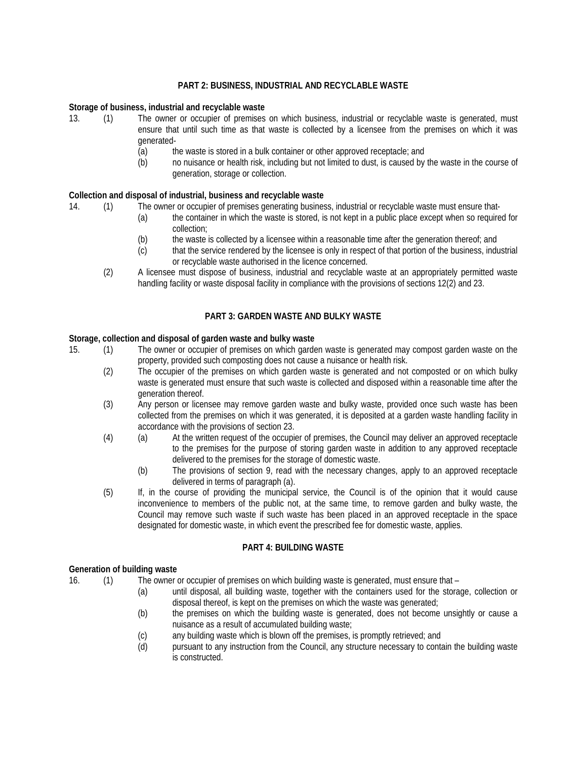### **PART 2: BUSINESS, INDUSTRIAL AND RECYCLABLE WASTE**

#### **Storage of business, industrial and recyclable waste**

- 13. (1) The owner or occupier of premises on which business, industrial or recyclable waste is generated, must ensure that until such time as that waste is collected by a licensee from the premises on which it was generated-
	- (a) the waste is stored in a bulk container or other approved receptacle; and
	- (b) no nuisance or health risk, including but not limited to dust, is caused by the waste in the course of generation, storage or collection.

# **Collection and disposal of industrial, business and recyclable waste**

14. (1) The owner or occupier of premises generating business, industrial or recyclable waste must ensure that-

- (a) the container in which the waste is stored, is not kept in a public place except when so required for collection;
- (b) the waste is collected by a licensee within a reasonable time after the generation thereof; and
- (c) that the service rendered by the licensee is only in respect of that portion of the business, industrial or recyclable waste authorised in the licence concerned.
- (2) A licensee must dispose of business, industrial and recyclable waste at an appropriately permitted waste handling facility or waste disposal facility in compliance with the provisions of sections 12(2) and 23.

### **PART 3: GARDEN WASTE AND BULKY WASTE**

#### **Storage, collection and disposal of garden waste and bulky waste**

- 15. (1) The owner or occupier of premises on which garden waste is generated may compost garden waste on the property, provided such composting does not cause a nuisance or health risk.
	- (2) The occupier of the premises on which garden waste is generated and not composted or on which bulky waste is generated must ensure that such waste is collected and disposed within a reasonable time after the generation thereof.
	- (3) Any person or licensee may remove garden waste and bulky waste, provided once such waste has been collected from the premises on which it was generated, it is deposited at a garden waste handling facility in accordance with the provisions of section 23.
	- (4) (a) At the written request of the occupier of premises, the Council may deliver an approved receptacle to the premises for the purpose of storing garden waste in addition to any approved receptacle delivered to the premises for the storage of domestic waste.
		- (b) The provisions of section 9, read with the necessary changes, apply to an approved receptacle delivered in terms of paragraph (a).
	- (5) If, in the course of providing the municipal service, the Council is of the opinion that it would cause inconvenience to members of the public not, at the same time, to remove garden and bulky waste, the Council may remove such waste if such waste has been placed in an approved receptacle in the space designated for domestic waste, in which event the prescribed fee for domestic waste, applies.

#### **PART 4: BUILDING WASTE**

#### **Generation of building waste**

- 16. (1) The owner or occupier of premises on which building waste is generated, must ensure that
	- (a) until disposal, all building waste, together with the containers used for the storage, collection or disposal thereof, is kept on the premises on which the waste was generated;
	- (b) the premises on which the building waste is generated, does not become unsightly or cause a nuisance as a result of accumulated building waste;
	- (c) any building waste which is blown off the premises, is promptly retrieved; and
	- (d) pursuant to any instruction from the Council, any structure necessary to contain the building waste is constructed.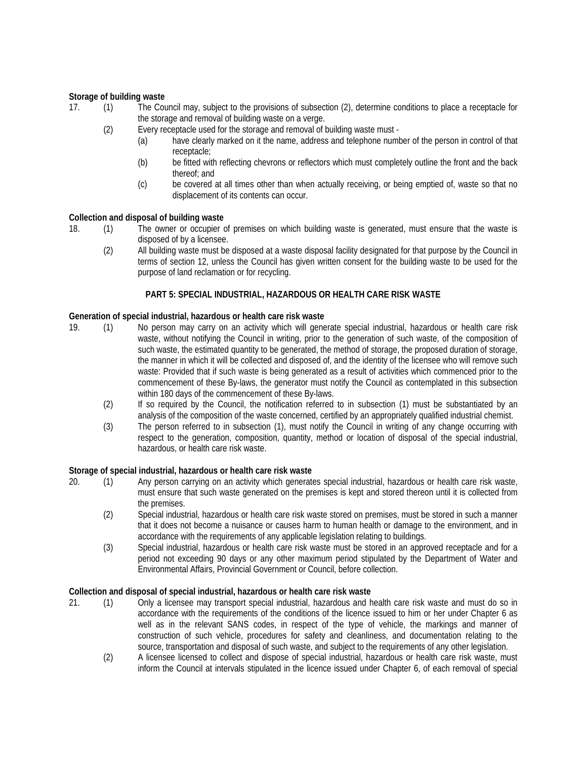### **Storage of building waste**

- 17. (1) The Council may, subject to the provisions of subsection (2), determine conditions to place a receptacle for the storage and removal of building waste on a verge.
	- (2) Every receptacle used for the storage and removal of building waste must
		- (a) have clearly marked on it the name, address and telephone number of the person in control of that receptacle;
		- (b) be fitted with reflecting chevrons or reflectors which must completely outline the front and the back thereof; and
		- (c) be covered at all times other than when actually receiving, or being emptied of, waste so that no displacement of its contents can occur.

### **Collection and disposal of building waste**

- 18. (1) The owner or occupier of premises on which building waste is generated, must ensure that the waste is disposed of by a licensee.
	- (2) All building waste must be disposed at a waste disposal facility designated for that purpose by the Council in terms of section 12, unless the Council has given written consent for the building waste to be used for the purpose of land reclamation or for recycling.

### **PART 5: SPECIAL INDUSTRIAL, HAZARDOUS OR HEALTH CARE RISK WASTE**

### **Generation of special industrial, hazardous or health care risk waste**

- 19. (1) No person may carry on an activity which will generate special industrial, hazardous or health care risk waste, without notifying the Council in writing, prior to the generation of such waste, of the composition of such waste, the estimated quantity to be generated, the method of storage, the proposed duration of storage, the manner in which it will be collected and disposed of, and the identity of the licensee who will remove such waste: Provided that if such waste is being generated as a result of activities which commenced prior to the commencement of these By-laws, the generator must notify the Council as contemplated in this subsection within 180 days of the commencement of these By-laws.
	- (2) If so required by the Council, the notification referred to in subsection (1) must be substantiated by an analysis of the composition of the waste concerned, certified by an appropriately qualified industrial chemist.
	- (3) The person referred to in subsection (1), must notify the Council in writing of any change occurring with respect to the generation, composition, quantity, method or location of disposal of the special industrial, hazardous, or health care risk waste.

### **Storage of special industrial, hazardous or health care risk waste**

- 20. (1) Any person carrying on an activity which generates special industrial, hazardous or health care risk waste, must ensure that such waste generated on the premises is kept and stored thereon until it is collected from the premises.
	- (2) Special industrial, hazardous or health care risk waste stored on premises, must be stored in such a manner that it does not become a nuisance or causes harm to human health or damage to the environment, and in accordance with the requirements of any applicable legislation relating to buildings.
	- (3) Special industrial, hazardous or health care risk waste must be stored in an approved receptacle and for a period not exceeding 90 days or any other maximum period stipulated by the Department of Water and Environmental Affairs, Provincial Government or Council, before collection.

### **Collection and disposal of special industrial, hazardous or health care risk waste**

- 21. (1) Only a licensee may transport special industrial, hazardous and health care risk waste and must do so in accordance with the requirements of the conditions of the licence issued to him or her under Chapter 6 as well as in the relevant SANS codes, in respect of the type of vehicle, the markings and manner of construction of such vehicle, procedures for safety and cleanliness, and documentation relating to the source, transportation and disposal of such waste, and subject to the requirements of any other legislation.
	- (2) A licensee licensed to collect and dispose of special industrial, hazardous or health care risk waste, must inform the Council at intervals stipulated in the licence issued under Chapter 6, of each removal of special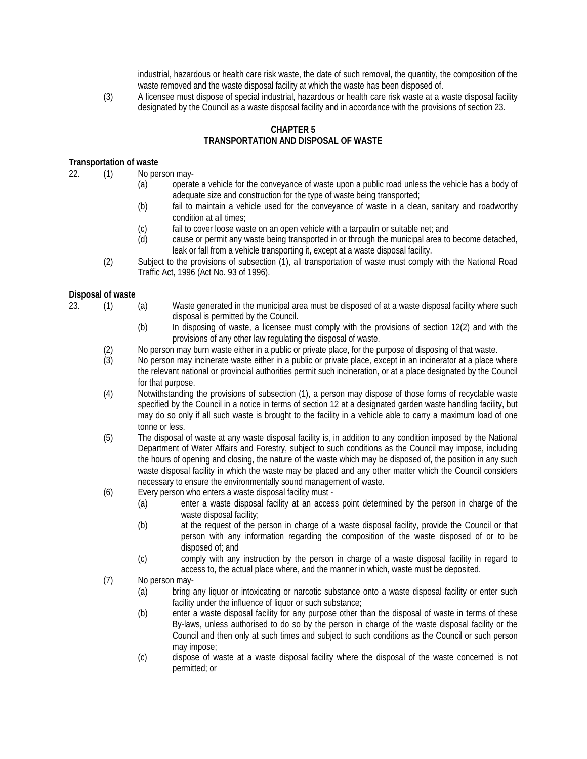industrial, hazardous or health care risk waste, the date of such removal, the quantity, the composition of the waste removed and the waste disposal facility at which the waste has been disposed of.

(3) A licensee must dispose of special industrial, hazardous or health care risk waste at a waste disposal facility designated by the Council as a waste disposal facility and in accordance with the provisions of section 23.

# **CHAPTER 5 TRANSPORTATION AND DISPOSAL OF WASTE**

## **Transportation of waste**

- 22. (1) No person may-
	- (a) operate a vehicle for the conveyance of waste upon a public road unless the vehicle has a body of adequate size and construction for the type of waste being transported;
	- (b) fail to maintain a vehicle used for the conveyance of waste in a clean, sanitary and roadworthy condition at all times;
	- (c) fail to cover loose waste on an open vehicle with a tarpaulin or suitable net; and
	- (d) cause or permit any waste being transported in or through the municipal area to become detached, leak or fall from a vehicle transporting it, except at a waste disposal facility.
	- (2) Subject to the provisions of subsection (1), all transportation of waste must comply with the National Road Traffic Act, 1996 (Act No. 93 of 1996).

### **Disposal of waste**

- 
- 23. (1) (a) Waste generated in the municipal area must be disposed of at a waste disposal facility where such disposal is permitted by the Council.
	- (b) In disposing of waste, a licensee must comply with the provisions of section 12(2) and with the provisions of any other law regulating the disposal of waste.
	- (2) No person may burn waste either in a public or private place, for the purpose of disposing of that waste.<br>(3) No person may incinerate waste either in a public or private place, except in an incinerator at a place y
	- No person may incinerate waste either in a public or private place, except in an incinerator at a place where the relevant national or provincial authorities permit such incineration, or at a place designated by the Council for that purpose.
	- (4) Notwithstanding the provisions of subsection (1), a person may dispose of those forms of recyclable waste specified by the Council in a notice in terms of section 12 at a designated garden waste handling facility, but may do so only if all such waste is brought to the facility in a vehicle able to carry a maximum load of one tonne or less.
	- (5) The disposal of waste at any waste disposal facility is, in addition to any condition imposed by the National Department of Water Affairs and Forestry, subject to such conditions as the Council may impose, including the hours of opening and closing, the nature of the waste which may be disposed of, the position in any such waste disposal facility in which the waste may be placed and any other matter which the Council considers necessary to ensure the environmentally sound management of waste.
	- (6) Every person who enters a waste disposal facility must
		- (a) enter a waste disposal facility at an access point determined by the person in charge of the waste disposal facility;
		- (b) at the request of the person in charge of a waste disposal facility, provide the Council or that person with any information regarding the composition of the waste disposed of or to be disposed of; and
		- (c) comply with any instruction by the person in charge of a waste disposal facility in regard to access to, the actual place where, and the manner in which, waste must be deposited.
	- (7) No person may-
		- (a) bring any liquor or intoxicating or narcotic substance onto a waste disposal facility or enter such facility under the influence of liquor or such substance;
		- (b) enter a waste disposal facility for any purpose other than the disposal of waste in terms of these By-laws, unless authorised to do so by the person in charge of the waste disposal facility or the Council and then only at such times and subject to such conditions as the Council or such person may impose;
		- (c) dispose of waste at a waste disposal facility where the disposal of the waste concerned is not permitted; or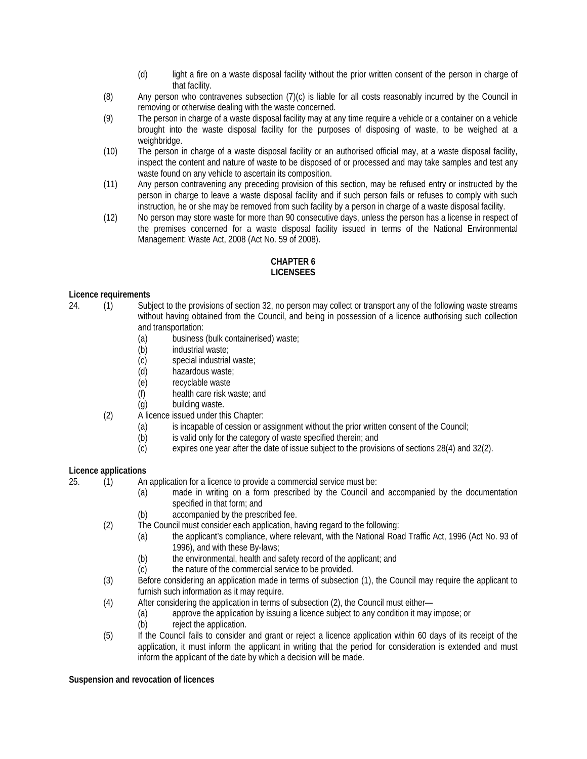- (d) light a fire on a waste disposal facility without the prior written consent of the person in charge of that facility.
- (8) Any person who contravenes subsection (7)(c) is liable for all costs reasonably incurred by the Council in removing or otherwise dealing with the waste concerned.
- (9) The person in charge of a waste disposal facility may at any time require a vehicle or a container on a vehicle brought into the waste disposal facility for the purposes of disposing of waste, to be weighed at a weighbridge.
- (10) The person in charge of a waste disposal facility or an authorised official may, at a waste disposal facility, inspect the content and nature of waste to be disposed of or processed and may take samples and test any waste found on any vehicle to ascertain its composition.
- (11) Any person contravening any preceding provision of this section, may be refused entry or instructed by the person in charge to leave a waste disposal facility and if such person fails or refuses to comply with such instruction, he or she may be removed from such facility by a person in charge of a waste disposal facility.
- (12) No person may store waste for more than 90 consecutive days, unless the person has a license in respect of the premises concerned for a waste disposal facility issued in terms of the National Environmental Management: Waste Act, 2008 (Act No. 59 of 2008).

# **CHAPTER 6 LICENSEES**

# **Licence requirements**

- 24. (1) Subject to the provisions of section 32, no person may collect or transport any of the following waste streams without having obtained from the Council, and being in possession of a licence authorising such collection and transportation:<br>(a) business
	- business (bulk containerised) waste;
	- (b) industrial waste;
	- (c) special industrial waste;
	- (d) hazardous waste;
	- (e) recyclable waste
	- (f) health care risk waste; and
	- (g) building waste.
	- (2) A licence issued under this Chapter:
		- (a) is incapable of cession or assignment without the prior written consent of the Council;
		- (b) is valid only for the category of waste specified therein; and (c) expires one year after the date of issue subject to the provis
		- expires one year after the date of issue subject to the provisions of sections 28(4) and 32(2).

# **Licence applications**

- 25. (1) An application for a licence to provide a commercial service must be:
	- (a) made in writing on a form prescribed by the Council and accompanied by the documentation specified in that form; and
	- (b) accompanied by the prescribed fee.
	- (2) The Council must consider each application, having regard to the following:
		- (a) the applicant's compliance, where relevant, with the National Road Traffic Act, 1996 (Act No. 93 of 1996), and with these By-laws;
		- (b) the environmental, health and safety record of the applicant; and
		- (c) the nature of the commercial service to be provided.
	- (3) Before considering an application made in terms of subsection (1), the Council may require the applicant to furnish such information as it may require.
	- (4) After considering the application in terms of subsection (2), the Council must either—
		- (a) approve the application by issuing a licence subject to any condition it may impose; or
		- (b) reject the application.
	- (5) If the Council fails to consider and grant or reject a licence application within 60 days of its receipt of the application, it must inform the applicant in writing that the period for consideration is extended and must inform the applicant of the date by which a decision will be made.

## **Suspension and revocation of licences**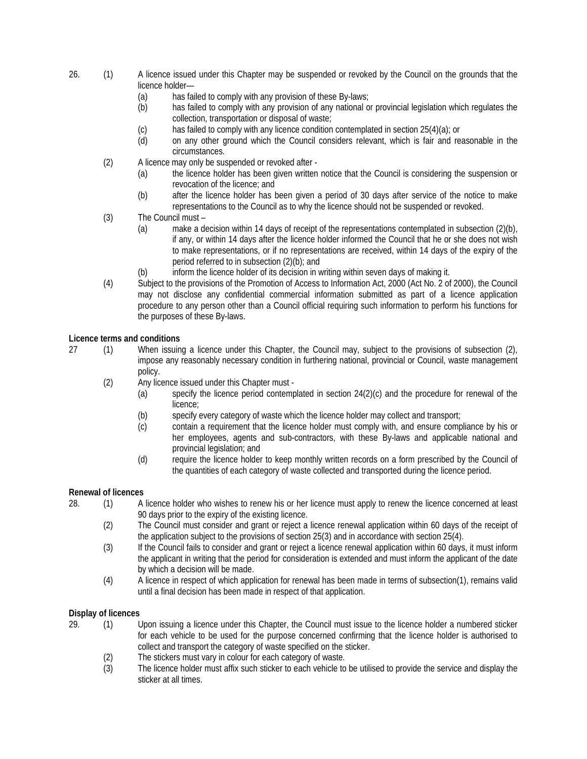- 26. (1) A licence issued under this Chapter may be suspended or revoked by the Council on the grounds that the licence holder—
	- (a) has failed to comply with any provision of these By-laws;
	- (b) has failed to comply with any provision of any national or provincial legislation which regulates the collection, transportation or disposal of waste;
	- (c) has failed to comply with any licence condition contemplated in section  $25(4)(a)$ ; or
	- (d) on any other ground which the Council considers relevant, which is fair and reasonable in the circumstances.
	- (2) A licence may only be suspended or revoked after
		- (a) the licence holder has been given written notice that the Council is considering the suspension or revocation of the licence; and
		- (b) after the licence holder has been given a period of 30 days after service of the notice to make representations to the Council as to why the licence should not be suspended or revoked.
	- (3) The Council must
		- (a) make a decision within 14 days of receipt of the representations contemplated in subsection (2)(b), if any, or within 14 days after the licence holder informed the Council that he or she does not wish to make representations, or if no representations are received, within 14 days of the expiry of the period referred to in subsection (2)(b); and
		- (b) inform the licence holder of its decision in writing within seven days of making it.
	- (4) Subject to the provisions of the Promotion of Access to Information Act, 2000 (Act No. 2 of 2000), the Council may not disclose any confidential commercial information submitted as part of a licence application procedure to any person other than a Council official requiring such information to perform his functions for the purposes of these By-laws.

## **Licence terms and conditions**

- 27 (1) When issuing a licence under this Chapter, the Council may, subject to the provisions of subsection (2), impose any reasonably necessary condition in furthering national, provincial or Council, waste management policy.
	- (2) Any licence issued under this Chapter must
		- (a) specify the licence period contemplated in section 24(2)(c) and the procedure for renewal of the licence;
		- (b) specify every category of waste which the licence holder may collect and transport;
		- (c) contain a requirement that the licence holder must comply with, and ensure compliance by his or her employees, agents and sub-contractors, with these By-laws and applicable national and provincial legislation; and
		- (d) require the licence holder to keep monthly written records on a form prescribed by the Council of the quantities of each category of waste collected and transported during the licence period.

## **Renewal of licences**

- 28. (1) A licence holder who wishes to renew his or her licence must apply to renew the licence concerned at least 90 days prior to the expiry of the existing licence.
	- (2) The Council must consider and grant or reject a licence renewal application within 60 days of the receipt of the application subject to the provisions of section 25(3) and in accordance with section 25(4).
	- (3) If the Council fails to consider and grant or reject a licence renewal application within 60 days, it must inform the applicant in writing that the period for consideration is extended and must inform the applicant of the date by which a decision will be made.
	- (4) A licence in respect of which application for renewal has been made in terms of subsection(1), remains valid until a final decision has been made in respect of that application.

### **Display of licences**

- 29. (1) Upon issuing a licence under this Chapter, the Council must issue to the licence holder a numbered sticker for each vehicle to be used for the purpose concerned confirming that the licence holder is authorised to collect and transport the category of waste specified on the sticker.
	- (2) The stickers must vary in colour for each category of waste.
	- (3) The licence holder must affix such sticker to each vehicle to be utilised to provide the service and display the sticker at all times.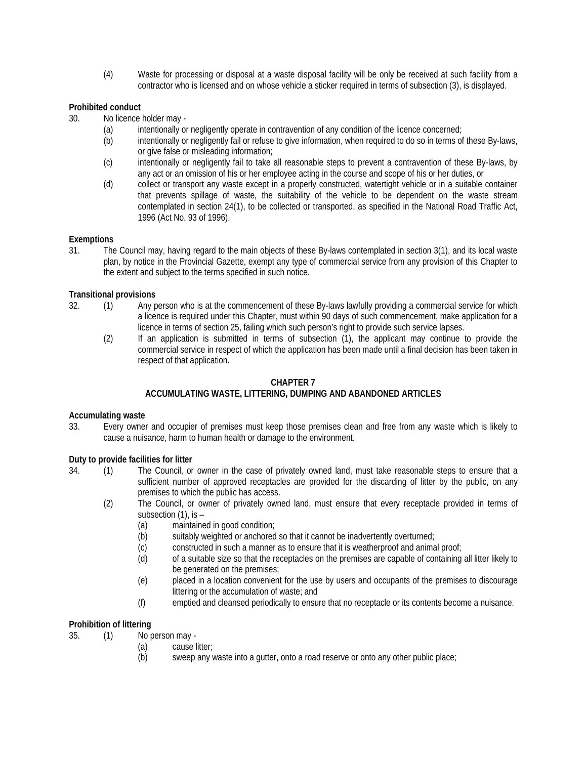(4) Waste for processing or disposal at a waste disposal facility will be only be received at such facility from a contractor who is licensed and on whose vehicle a sticker required in terms of subsection (3), is displayed.

# **Prohibited conduct**

- 30. No licence holder may
	- (a) intentionally or negligently operate in contravention of any condition of the licence concerned;
	- (b) intentionally or negligently fail or refuse to give information, when required to do so in terms of these By-laws, or give false or misleading information;
	- (c) intentionally or negligently fail to take all reasonable steps to prevent a contravention of these By-laws, by any act or an omission of his or her employee acting in the course and scope of his or her duties, or
	- (d) collect or transport any waste except in a properly constructed, watertight vehicle or in a suitable container that prevents spillage of waste, the suitability of the vehicle to be dependent on the waste stream contemplated in section 24(1), to be collected or transported, as specified in the National Road Traffic Act, 1996 (Act No. 93 of 1996).

### **Exemptions**

31. The Council may, having regard to the main objects of these By-laws contemplated in section 3(1), and its local waste plan, by notice in the Provincial Gazette, exempt any type of commercial service from any provision of this Chapter to the extent and subject to the terms specified in such notice.

## **Transitional provisions**

- 32. (1) Any person who is at the commencement of these By-laws lawfully providing a commercial service for which a licence is required under this Chapter, must within 90 days of such commencement, make application for a licence in terms of section 25, failing which such person's right to provide such service lapses.
	- (2) If an application is submitted in terms of subsection (1), the applicant may continue to provide the commercial service in respect of which the application has been made until a final decision has been taken in respect of that application.

# **CHAPTER 7**

# **ACCUMULATING WASTE, LITTERING, DUMPING AND ABANDONED ARTICLES**

### **Accumulating waste**

33. Every owner and occupier of premises must keep those premises clean and free from any waste which is likely to cause a nuisance, harm to human health or damage to the environment.

### **Duty to provide facilities for litter**

- 34. (1) The Council, or owner in the case of privately owned land, must take reasonable steps to ensure that a sufficient number of approved receptacles are provided for the discarding of litter by the public, on any premises to which the public has access.
	- (2) The Council, or owner of privately owned land, must ensure that every receptacle provided in terms of subsection (1), is –
		- (a) maintained in good condition;
		- (b) suitably weighted or anchored so that it cannot be inadvertently overturned;
		- (c) constructed in such a manner as to ensure that it is weatherproof and animal proof;
		- (d) of a suitable size so that the receptacles on the premises are capable of containing all litter likely to be generated on the premises;
		- (e) placed in a location convenient for the use by users and occupants of the premises to discourage littering or the accumulation of waste; and
		- (f) emptied and cleansed periodically to ensure that no receptacle or its contents become a nuisance.

# **Prohibition of littering**

- 35. (1) No person may
	- (a) cause litter;
	- (b) sweep any waste into a gutter, onto a road reserve or onto any other public place;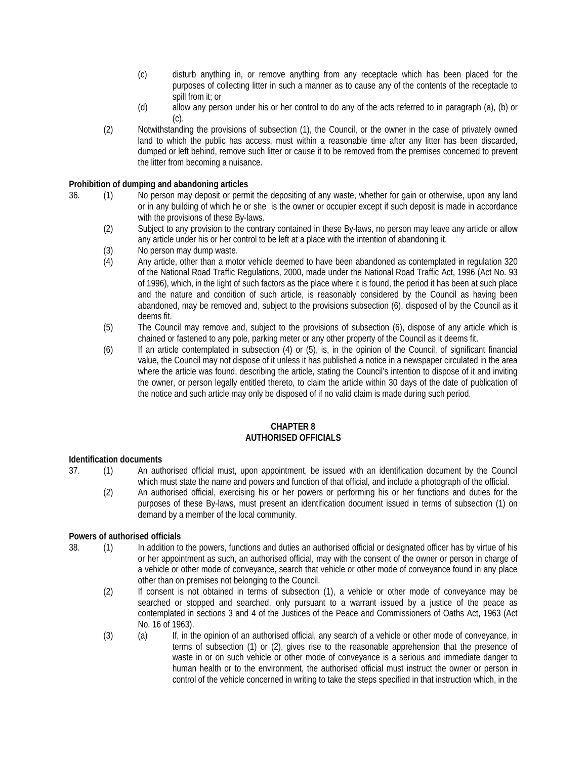- (c) disturb anything in, or remove anything from any receptacle which has been placed for the purposes of collecting litter in such a manner as to cause any of the contents of the receptacle to spill from it; or
- (d) allow any person under his or her control to do any of the acts referred to in paragraph (a), (b) or (c).
- (2) Notwithstanding the provisions of subsection (1), the Council, or the owner in the case of privately owned land to which the public has access, must within a reasonable time after any litter has been discarded, dumped or left behind, remove such litter or cause it to be removed from the premises concerned to prevent the litter from becoming a nuisance.

### **Prohibition of dumping and abandoning articles**

- 36. (1) No person may deposit or permit the depositing of any waste, whether for gain or otherwise, upon any land or in any building of which he or she is the owner or occupier except if such deposit is made in accordance with the provisions of these By-laws.
	- (2) Subject to any provision to the contrary contained in these By-laws, no person may leave any article or allow any article under his or her control to be left at a place with the intention of abandoning it.
	- (3) No person may dump waste.
	- (4) Any article, other than a motor vehicle deemed to have been abandoned as contemplated in regulation 320 of the National Road Traffic Regulations, 2000, made under the National Road Traffic Act, 1996 (Act No. 93 of 1996), which, in the light of such factors as the place where it is found, the period it has been at such place and the nature and condition of such article, is reasonably considered by the Council as having been abandoned, may be removed and, subject to the provisions subsection (6), disposed of by the Council as it deems fit.
	- (5) The Council may remove and, subject to the provisions of subsection (6), dispose of any article which is chained or fastened to any pole, parking meter or any other property of the Council as it deems fit.
	- (6) If an article contemplated in subsection (4) or (5), is, in the opinion of the Council, of significant financial value, the Council may not dispose of it unless it has published a notice in a newspaper circulated in the area where the article was found, describing the article, stating the Council's intention to dispose of it and inviting the owner, or person legally entitled thereto, to claim the article within 30 days of the date of publication of the notice and such article may only be disposed of if no valid claim is made during such period.

#### **CHAPTER 8 AUTHORISED OFFICIALS**

### **Identification documents**

- 37. (1) An authorised official must, upon appointment, be issued with an identification document by the Council which must state the name and powers and function of that official, and include a photograph of the official.
	- (2) An authorised official, exercising his or her powers or performing his or her functions and duties for the purposes of these By-laws, must present an identification document issued in terms of subsection (1) on demand by a member of the local community.

### **Powers of authorised officials**

- 38. (1) In addition to the powers, functions and duties an authorised official or designated officer has by virtue of his or her appointment as such, an authorised official, may with the consent of the owner or person in charge of a vehicle or other mode of conveyance, search that vehicle or other mode of conveyance found in any place other than on premises not belonging to the Council.
	- (2) If consent is not obtained in terms of subsection (1), a vehicle or other mode of conveyance may be searched or stopped and searched, only pursuant to a warrant issued by a justice of the peace as contemplated in sections 3 and 4 of the Justices of the Peace and Commissioners of Oaths Act, 1963 (Act No. 16 of 1963).
	- (3) (a) If, in the opinion of an authorised official, any search of a vehicle or other mode of conveyance, in terms of subsection (1) or (2), gives rise to the reasonable apprehension that the presence of waste in or on such vehicle or other mode of conveyance is a serious and immediate danger to human health or to the environment, the authorised official must instruct the owner or person in control of the vehicle concerned in writing to take the steps specified in that instruction which, in the